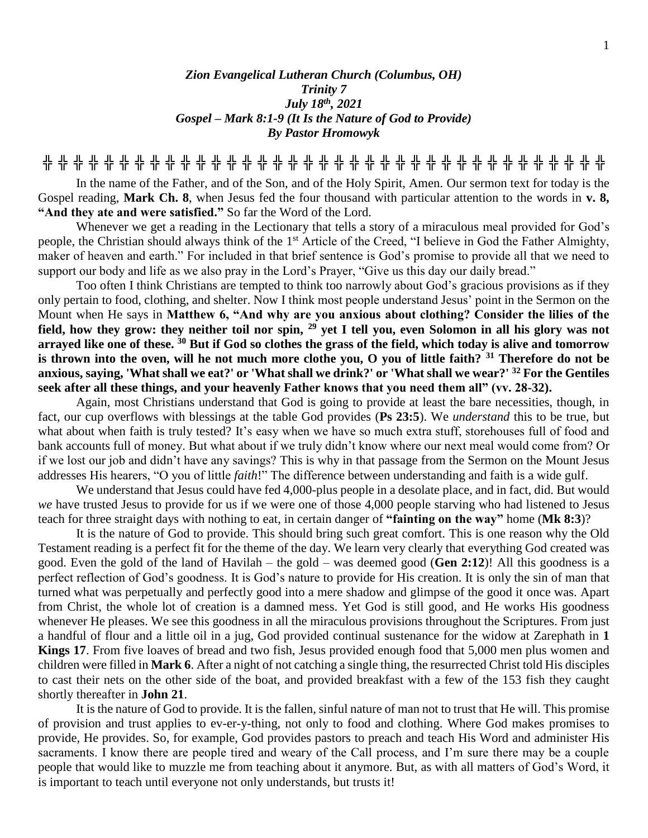## *Zion Evangelical Lutheran Church (Columbus, OH) Trinity 7 July 18th, 2021 Gospel – Mark 8:1-9 (It Is the Nature of God to Provide) By Pastor Hromowyk*

**╬ ╬ ╬ ╬ ╬ ╬ ╬ ╬ ╬ ╬ ╬ ╬ ╬ ╬ ╬ ╬ ╬ ╬ ╬ ╬ ╬ ╬ ╬ ╬ ╬ ╬ ╬ ╬ ╬ ╬ ╬ ╬ ╬ ╬ ╬ ╬ ╬**

In the name of the Father, and of the Son, and of the Holy Spirit, Amen. Our sermon text for today is the Gospel reading, **Mark Ch. 8**, when Jesus fed the four thousand with particular attention to the words in **v. 8, "And they ate and were satisfied."** So far the Word of the Lord.

Whenever we get a reading in the Lectionary that tells a story of a miraculous meal provided for God's people, the Christian should always think of the 1st Article of the Creed, "I believe in God the Father Almighty, maker of heaven and earth." For included in that brief sentence is God's promise to provide all that we need to support our body and life as we also pray in the Lord's Prayer, "Give us this day our daily bread."

Too often I think Christians are tempted to think too narrowly about God's gracious provisions as if they only pertain to food, clothing, and shelter. Now I think most people understand Jesus' point in the Sermon on the Mount when He says in **Matthew 6, "And why are you anxious about clothing? Consider the lilies of the field, how they grow: they neither toil nor spin, <sup>29</sup> yet I tell you, even Solomon in all his glory was not arrayed like one of these. <sup>30</sup> But if God so clothes the grass of the field, which today is alive and tomorrow is thrown into the oven, will he not much more clothe you, O you of little faith? <sup>31</sup> Therefore do not be anxious, saying, 'What shall we eat?' or 'What shall we drink?' or 'What shall we wear?' <sup>32</sup> For the Gentiles seek after all these things, and your heavenly Father knows that you need them all" (vv. 28-32).** 

Again, most Christians understand that God is going to provide at least the bare necessities, though, in fact, our cup overflows with blessings at the table God provides (**Ps 23:5**). We *understand* this to be true, but what about when faith is truly tested? It's easy when we have so much extra stuff, storehouses full of food and bank accounts full of money. But what about if we truly didn't know where our next meal would come from? Or if we lost our job and didn't have any savings? This is why in that passage from the Sermon on the Mount Jesus addresses His hearers, "O you of little *faith*!" The difference between understanding and faith is a wide gulf.

We understand that Jesus could have fed 4,000-plus people in a desolate place, and in fact, did. But would *we* have trusted Jesus to provide for us if we were one of those 4,000 people starving who had listened to Jesus teach for three straight days with nothing to eat, in certain danger of **"fainting on the way"** home (**Mk 8:3**)?

It is the nature of God to provide. This should bring such great comfort. This is one reason why the Old Testament reading is a perfect fit for the theme of the day. We learn very clearly that everything God created was good. Even the gold of the land of Havilah – the gold – was deemed good (**Gen 2:12**)! All this goodness is a perfect reflection of God's goodness. It is God's nature to provide for His creation. It is only the sin of man that turned what was perpetually and perfectly good into a mere shadow and glimpse of the good it once was. Apart from Christ, the whole lot of creation is a damned mess. Yet God is still good, and He works His goodness whenever He pleases. We see this goodness in all the miraculous provisions throughout the Scriptures. From just a handful of flour and a little oil in a jug, God provided continual sustenance for the widow at Zarephath in **1 Kings 17**. From five loaves of bread and two fish, Jesus provided enough food that 5,000 men plus women and children were filled in **Mark 6**. After a night of not catching a single thing, the resurrected Christ told His disciples to cast their nets on the other side of the boat, and provided breakfast with a few of the 153 fish they caught shortly thereafter in **John 21**.

It is the nature of God to provide. It is the fallen, sinful nature of man not to trust that He will. This promise of provision and trust applies to ev-er-y-thing, not only to food and clothing. Where God makes promises to provide, He provides. So, for example, God provides pastors to preach and teach His Word and administer His sacraments. I know there are people tired and weary of the Call process, and I'm sure there may be a couple people that would like to muzzle me from teaching about it anymore. But, as with all matters of God's Word, it is important to teach until everyone not only understands, but trusts it!